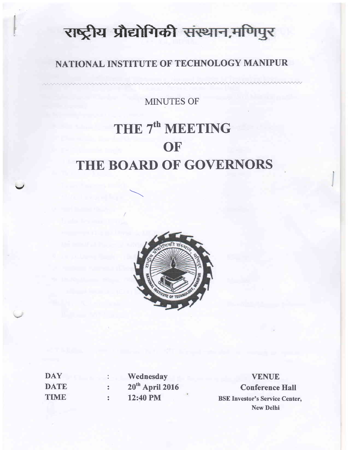# राष्ट्रीय प्रौद्योगिकी संस्थान,मणिपुर

# NATIONAL INSTITUTE OF TECHNOLOGY MANIPUR

MINUTES OF

# THE 7<sup>th</sup> MEETING THE BOARD OF GOVERNORS **OF**



| DAY         |  |
|-------------|--|
| <b>DATE</b> |  |
| <b>TIME</b> |  |

v

Wednesday 20<sup>th</sup> April 2016 12:40 PM

VENUE Conference Hall BSE Investor's Service Center, New Delhi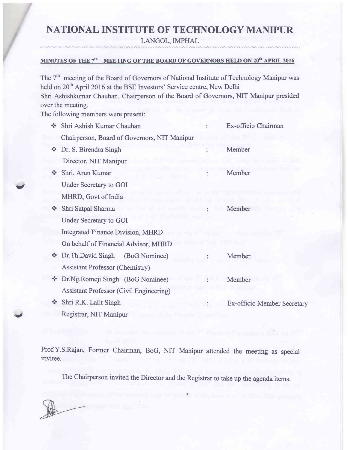# NATIONAL INSTITUTE OF TECHNOLOGY MANIPUR

LANGOL, IMPHAL

#### MINUTES OF THE 7<sup>th</sup> MEETING OF THE BOARD OF GOVERNORS HELD ON 20<sup>th</sup> APRIL 2016

The 7<sup>th</sup> meeting of the Board of Governors of National Institute of Technology Manipur was held on 20<sup>th</sup> April 2016 at the BSE Investors' Service centre, New Delhi Shri Ashishkumar Chauhan, Chairperson of the Board of Governors, NIT Manipur presided over the meeting.

The following members were present:

 $\cdots$ 

| Shri Ashish Kumar Chauhan<br>$\mathbf{r}$            |  | Ex-officio Chairman                          |
|------------------------------------------------------|--|----------------------------------------------|
|                                                      |  |                                              |
| Dr. S. Birendra Singh<br>$\mathcal{L}$               |  | Member                                       |
| Director, NIT Manipur                                |  |                                              |
| Shri. Arun Kumar                                     |  | Member                                       |
| Under Secretary to GOI                               |  |                                              |
| MHRD, Govt of India                                  |  |                                              |
| Shri Satpal Sharma<br>A.                             |  | Member                                       |
| Under Secretary to GOI                               |  |                                              |
| <b>Integrated Finance Division, MHRD</b>             |  |                                              |
| On behalf of Financial Advisor, MHRD                 |  |                                              |
| ❖ Dr. Th. David Singh<br>(BoG Nominee)               |  | Member                                       |
| <b>Assistant Professor (Chemistry)</b>               |  |                                              |
| Dr.Ng.Romeji Singh (BoG Nominee)<br><b>SA</b>        |  | Member                                       |
| <b>Assistant Professor (Civil Engineering)</b>       |  |                                              |
| Shri R.K. Lalit Singh<br>$\mathcal{L}_{\mathcal{S}}$ |  | Ex-officio Member Secretary                  |
| Registrar, NIT Manipur                               |  |                                              |
|                                                      |  | Chairperson, Board of Governors, NIT Manipur |

Prof.Y.S.Rajan, Former Chairrnan, BoG, NIT Manipur attended the meeting as special invitee.

The Chairperson invited the Director and the Registrar to take up the agenda items.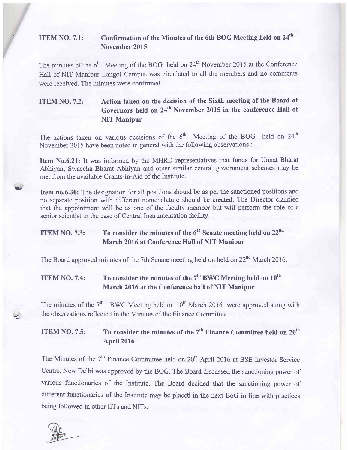#### ITEM NO. 7.1: Confirmation of the Minutes of the 6th BOG Meeting held on 24<sup>th</sup> November 2015

The minutes of the 6<sup>th</sup> Meeting of the BOG held on 24<sup>th</sup> November 2015 at the Conference Hall of NIT Manipur Langol Campus was circulated to all the members and no comments were received. The minutes were confirmed.

### ITEM NO. 7.2: Action taken on the decision of the Sixth meeting of the Board of Governors held on 24<sup>th</sup> November 2015 in the conference Hall of NIT Manipur

The actions taken on various decisions of the  $6<sup>th</sup>$  Meeting of the BOG held on  $24<sup>th</sup>$ November 2015 have been noted in general with the following observations :

Item No.6.21: It was informed by the MHRD representatives that funds for Unnat Bharat Abhiyan, Swaccha Bharat Abhiyan and other similar central government schemes may be met from the available Grants-in-Aid of the Institute.

Item no.6.30: The designation for all positions should be as per the sanctioned positions and no separate position with different nomenclature should be created. The Director clarified that the appointment will be as one of the faculty member but will perform the role of <sup>a</sup> senior scientist in the case of Central Instrumentation facilitv.

## ITEM NO. 7.3: To consider the minutes of the  $6<sup>th</sup>$  Senate meeting held on 22<sup>nd</sup> March 2016 at Conference Hall of NIT Manipur

The Board approved minutes of the 7th Senate meeting held on held on 22<sup>nd</sup> March 2016.

## ITEM NO. 7.4: To consider the minutes of the  $7<sup>th</sup>$  BWC Meeting held on  $10<sup>th</sup>$ March 2016 at the Conference hall of NIT Manipur

The minutes of the  $7<sup>th</sup>$  BWC Meeting held on  $10<sup>th</sup>$  March 2016 were approved along with the observations reflected in the Minutes of the Finance Committee.

### ITEM NO. 7.5: To consider the minutes of the  $7<sup>th</sup>$  Finance Committee held on  $20<sup>th</sup>$ **April 2016**

The Minutes of the 7<sup>th</sup> Finance Committee held on 20<sup>th</sup> April 2016 at BSE Investor Service Centre, New Delhi was approved by the BOG. The Board discussed the sanctioning power of various functionaries of the Lnstitute. The Board decided that the sanctioning power of different functionaries of the Institute may be placed in the next BoG in line with practices being followed in other IITs and NITs.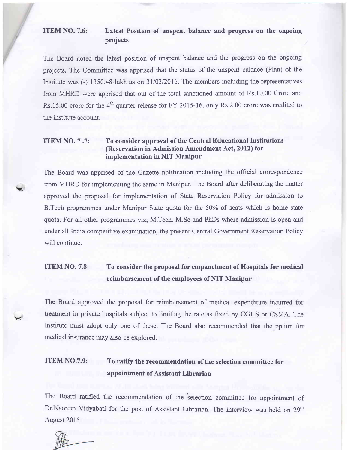#### ITEM NO. 7.6: Latest Position of unspent balance and progress on the ongoing projects

The Board noted the latest position of unspent balance and the progress on the ongoing projects. The Committee was apprised that the status of the unspent balance (Plan) of the Institute was (-) 1350.48 lakh as on 31/03/2016. The members including the representatives from MHRD were apprised that out of the total sanctioned amount of Rs.10.00 Crore and Rs.15.00 crore for the 4<sup>th</sup> quarter release for FY 2015-16, only Rs.2.00 crore was credited to the institute account.

#### ITEM NO. 7 .?: To consider approyal of the Central Educational Institutions (Reservation in Admission Amendment Act, 2012) for implementation in NIT Manipur

The Board was apprised of the Gazette notification including the official correspondence from MHRD for implementing the same in Manipur. The Board after deliberating the matter approved the proposal for implementation of State Reservation Policy for admission to B.Tech progrenmes under Manipur State quota for the 50% of seats which is home state quota. For all other prograrnmes viz; M.Tech. M.Sc and PhDs where admission is open and under all India competitive examination, the present Central Government Reservation Policy will continue.

## ITEM NO. 7.8: To consider the proposal for empanelment of Hospitals for medical reimbursement of the employees of NIT Manipur

The Board approved the proposal for reimbursement of medical expenditure incurred for treatment in private hospitals subject to limiting the rate as fixed by CGHS or CSMA. The Institute must adopt only one of these. The Board also recommended that the option for medical insurance may also be explored.

## ITEM NO.7.9: To ratify the recommendation of the selection committee for appointment of Assistant Librarian

The Board ratified the recommendation of the 'selection committee for appointment of Dr.Naorem Vidyabati for the post of Assistant Librarian. The interview was held on 29<sup>th</sup> August 2015.

 $\overline{\phantom{0}}$ 

 $\overline{\cdot}$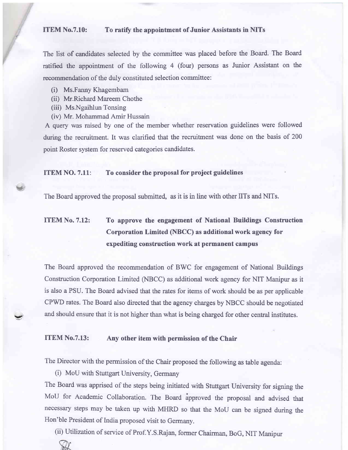#### ITEM No.7.10: To ratify the appointment of Junior Assistants in NITs

The list of candidates selected by the committee was placed before the Board. The Board ratified the appointment of the following 4 (four) persons as Junior Assistant on the recommendation of the duly constituted selection committee:

- (i) Ms.Fanny Khagembam
- (ii) Mr.Richard Mareem Chothe
- (iii) Ms.Ngaihlun Tonsing

v

 $\checkmark$ 

(iv) Mr. Mohammad Amir Hussain

A query was raised by one of the member whether reservation guidelines were followed during the recruitment. It was clarified that the recruitment was done on the basis of 200 point Roster system for reserved categories candidates.

#### ITEM NO. 7.11: To consider the proposal for project guidelines

The Board approved the proposal submitted, as it is in line with other IITs and NITs.

# ITEM No. 7.12: To approve the engagement of National Buildings Construction Corporation Limited (NBCC) as additional work agency for expediting construction work at permanent campus

The Board approved the recommendation of BWC for engagement of National Suildings Construction Corporation Limited (NBCC) as additional work agency for NIT Manipur as it is also a PSU. The Board advised that the rates for items of work should be as per applicable CPWD rates. The Board also directed that the agency charges by NBCC should be negotiated and should ensure that it is not higher than what is being charged for other central institutes.

#### ITEM No.7.13: Any other item with permission of the Chair

The Director with the permission of the Chair proposed the following as table agenda:

(i) MoU with Stuttgart University, Germany

The Board was apprised of the steps being initiated with Stuttgart University for signing the MoU for Academic Collaboration. The Board ipproved the proposal and advised that necessary steps may be taken up with MHRD so that the MoU can be signed during the Hon'ble President of India proposed visit to Germany.

(ii) Utilization of service of Prof.Y.S.Rajan, former Chairman, BoG, NIT Manipur